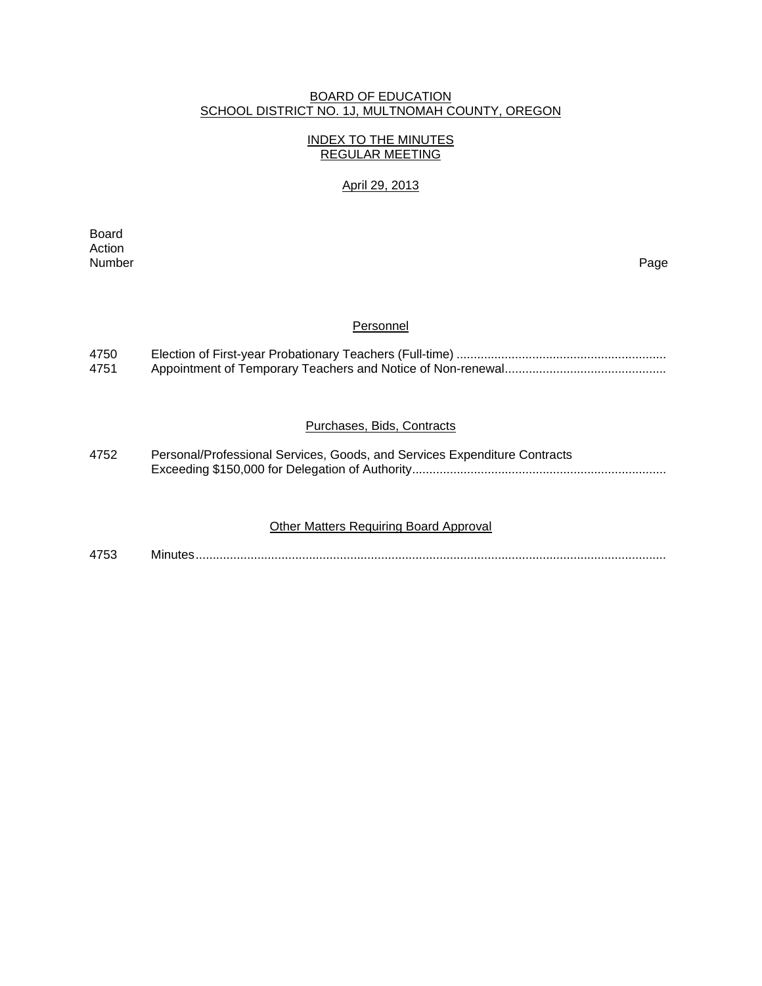### BOARD OF EDUCATION SCHOOL DISTRICT NO. 1J, MULTNOMAH COUNTY, OREGON

### INDEX TO THE MINUTES REGULAR MEETING

## April 29, 2013

**Board Board** Action<br>Number Number Page

#### **Personnel**

| 4750 |  |
|------|--|
| 4751 |  |

## Purchases, Bids, Contracts

| 4752 | Personal/Professional Services, Goods, and Services Expenditure Contracts |
|------|---------------------------------------------------------------------------|
|      |                                                                           |

### Other Matters Requiring Board Approval

4753 Minutes .........................................................................................................................................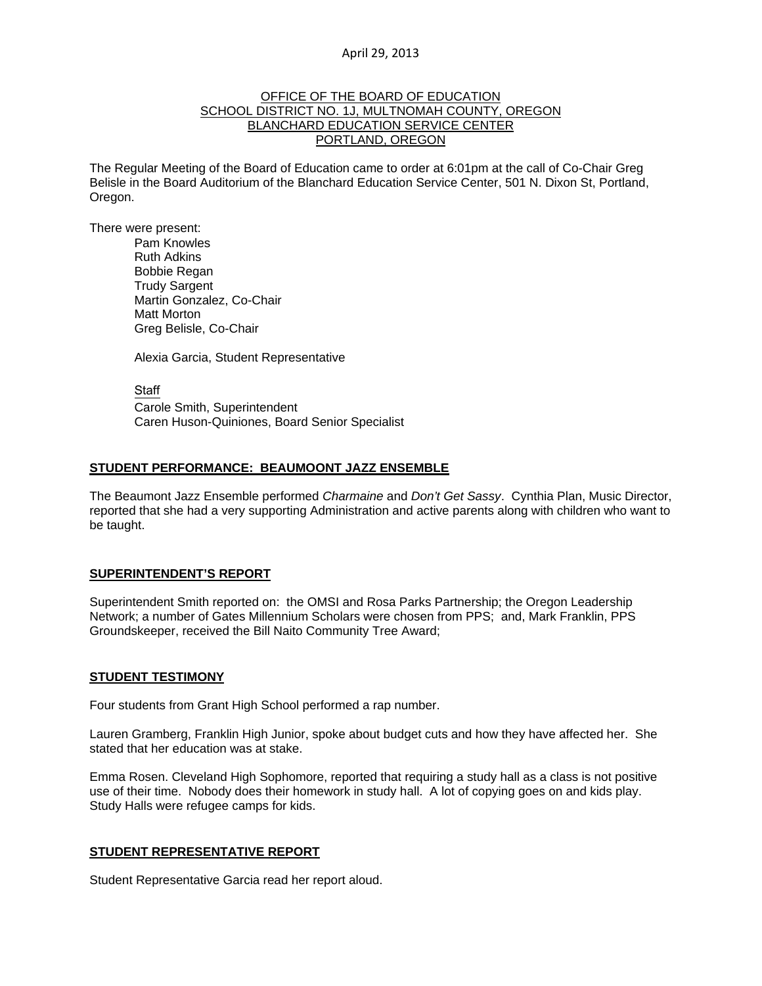#### OFFICE OF THE BOARD OF EDUCATION SCHOOL DISTRICT NO. 1J, MULTNOMAH COUNTY, OREGON BLANCHARD EDUCATION SERVICE CENTER PORTLAND, OREGON

The Regular Meeting of the Board of Education came to order at 6:01pm at the call of Co-Chair Greg Belisle in the Board Auditorium of the Blanchard Education Service Center, 501 N. Dixon St, Portland, Oregon.

There were present: Pam Knowles

Ruth Adkins Bobbie Regan Trudy Sargent Martin Gonzalez, Co-Chair Matt Morton Greg Belisle, Co-Chair

Alexia Garcia, Student Representative

Staff Carole Smith, Superintendent Caren Huson-Quiniones, Board Senior Specialist

#### **STUDENT PERFORMANCE: BEAUMOONT JAZZ ENSEMBLE**

The Beaumont Jazz Ensemble performed *Charmaine* and *Don't Get Sassy*. Cynthia Plan, Music Director, reported that she had a very supporting Administration and active parents along with children who want to be taught.

### **SUPERINTENDENT'S REPORT**

Superintendent Smith reported on: the OMSI and Rosa Parks Partnership; the Oregon Leadership Network; a number of Gates Millennium Scholars were chosen from PPS; and, Mark Franklin, PPS Groundskeeper, received the Bill Naito Community Tree Award;

#### **STUDENT TESTIMONY**

Four students from Grant High School performed a rap number.

Lauren Gramberg, Franklin High Junior, spoke about budget cuts and how they have affected her. She stated that her education was at stake.

Emma Rosen. Cleveland High Sophomore, reported that requiring a study hall as a class is not positive use of their time. Nobody does their homework in study hall. A lot of copying goes on and kids play. Study Halls were refugee camps for kids.

#### **STUDENT REPRESENTATIVE REPORT**

Student Representative Garcia read her report aloud.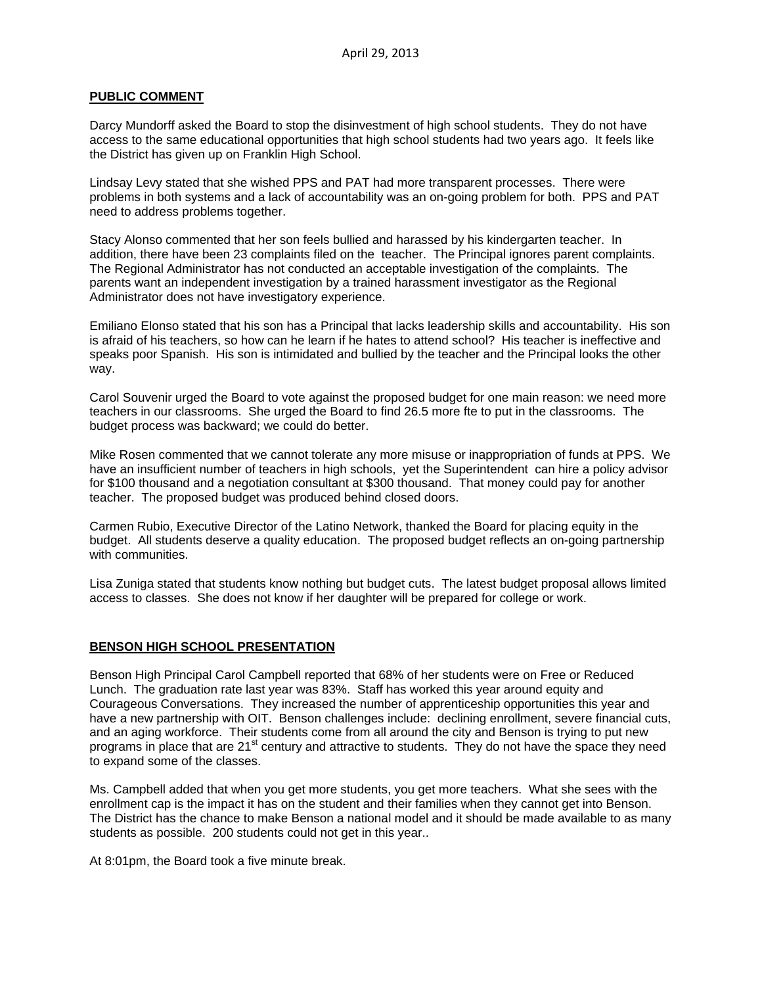### **PUBLIC COMMENT**

Darcy Mundorff asked the Board to stop the disinvestment of high school students. They do not have access to the same educational opportunities that high school students had two years ago. It feels like the District has given up on Franklin High School.

Lindsay Levy stated that she wished PPS and PAT had more transparent processes. There were problems in both systems and a lack of accountability was an on-going problem for both. PPS and PAT need to address problems together.

Stacy Alonso commented that her son feels bullied and harassed by his kindergarten teacher. In addition, there have been 23 complaints filed on the teacher. The Principal ignores parent complaints. The Regional Administrator has not conducted an acceptable investigation of the complaints. The parents want an independent investigation by a trained harassment investigator as the Regional Administrator does not have investigatory experience.

Emiliano Elonso stated that his son has a Principal that lacks leadership skills and accountability. His son is afraid of his teachers, so how can he learn if he hates to attend school? His teacher is ineffective and speaks poor Spanish. His son is intimidated and bullied by the teacher and the Principal looks the other way.

Carol Souvenir urged the Board to vote against the proposed budget for one main reason: we need more teachers in our classrooms. She urged the Board to find 26.5 more fte to put in the classrooms. The budget process was backward; we could do better.

Mike Rosen commented that we cannot tolerate any more misuse or inappropriation of funds at PPS. We have an insufficient number of teachers in high schools, yet the Superintendent can hire a policy advisor for \$100 thousand and a negotiation consultant at \$300 thousand. That money could pay for another teacher. The proposed budget was produced behind closed doors.

Carmen Rubio, Executive Director of the Latino Network, thanked the Board for placing equity in the budget. All students deserve a quality education. The proposed budget reflects an on-going partnership with communities.

Lisa Zuniga stated that students know nothing but budget cuts. The latest budget proposal allows limited access to classes. She does not know if her daughter will be prepared for college or work.

## **BENSON HIGH SCHOOL PRESENTATION**

Benson High Principal Carol Campbell reported that 68% of her students were on Free or Reduced Lunch. The graduation rate last year was 83%. Staff has worked this year around equity and Courageous Conversations. They increased the number of apprenticeship opportunities this year and have a new partnership with OIT. Benson challenges include: declining enrollment, severe financial cuts, and an aging workforce. Their students come from all around the city and Benson is trying to put new programs in place that are 21<sup>st</sup> century and attractive to students. They do not have the space they need to expand some of the classes.

Ms. Campbell added that when you get more students, you get more teachers. What she sees with the enrollment cap is the impact it has on the student and their families when they cannot get into Benson. The District has the chance to make Benson a national model and it should be made available to as many students as possible. 200 students could not get in this year..

At 8:01pm, the Board took a five minute break.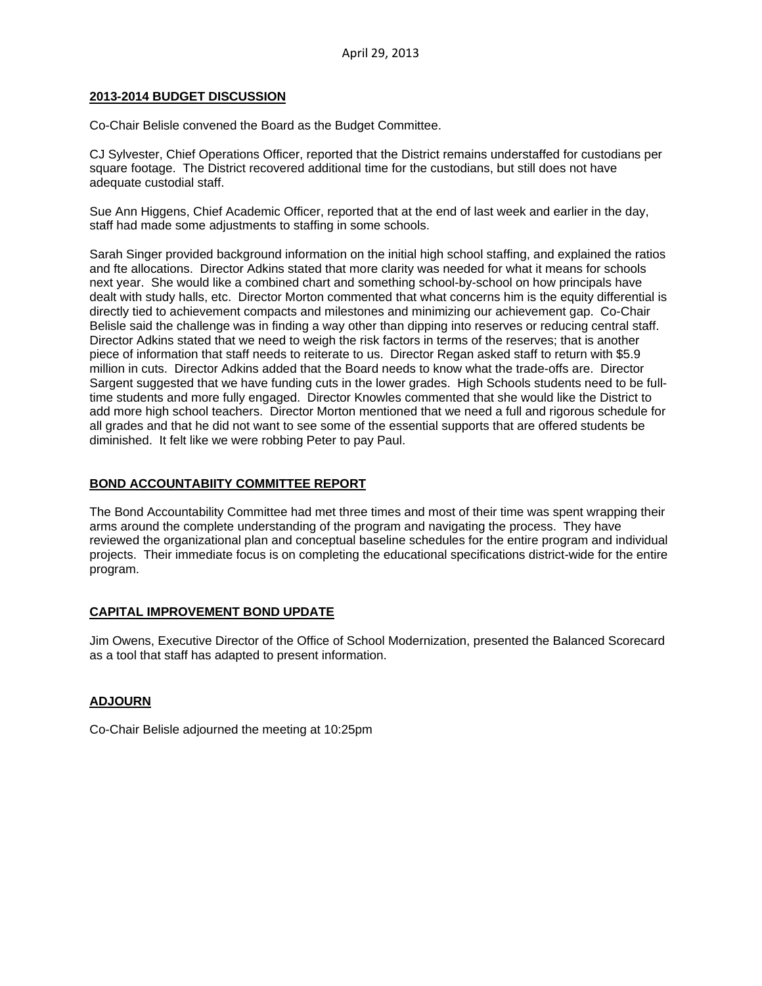#### **2013-2014 BUDGET DISCUSSION**

Co-Chair Belisle convened the Board as the Budget Committee.

CJ Sylvester, Chief Operations Officer, reported that the District remains understaffed for custodians per square footage. The District recovered additional time for the custodians, but still does not have adequate custodial staff.

Sue Ann Higgens, Chief Academic Officer, reported that at the end of last week and earlier in the day, staff had made some adjustments to staffing in some schools.

Sarah Singer provided background information on the initial high school staffing, and explained the ratios and fte allocations. Director Adkins stated that more clarity was needed for what it means for schools next year. She would like a combined chart and something school-by-school on how principals have dealt with study halls, etc. Director Morton commented that what concerns him is the equity differential is directly tied to achievement compacts and milestones and minimizing our achievement gap. Co-Chair Belisle said the challenge was in finding a way other than dipping into reserves or reducing central staff. Director Adkins stated that we need to weigh the risk factors in terms of the reserves; that is another piece of information that staff needs to reiterate to us. Director Regan asked staff to return with \$5.9 million in cuts. Director Adkins added that the Board needs to know what the trade-offs are. Director Sargent suggested that we have funding cuts in the lower grades. High Schools students need to be fulltime students and more fully engaged. Director Knowles commented that she would like the District to add more high school teachers. Director Morton mentioned that we need a full and rigorous schedule for all grades and that he did not want to see some of the essential supports that are offered students be diminished. It felt like we were robbing Peter to pay Paul.

## **BOND ACCOUNTABIITY COMMITTEE REPORT**

The Bond Accountability Committee had met three times and most of their time was spent wrapping their arms around the complete understanding of the program and navigating the process. They have reviewed the organizational plan and conceptual baseline schedules for the entire program and individual projects. Their immediate focus is on completing the educational specifications district-wide for the entire program.

## **CAPITAL IMPROVEMENT BOND UPDATE**

Jim Owens, Executive Director of the Office of School Modernization, presented the Balanced Scorecard as a tool that staff has adapted to present information.

#### **ADJOURN**

Co-Chair Belisle adjourned the meeting at 10:25pm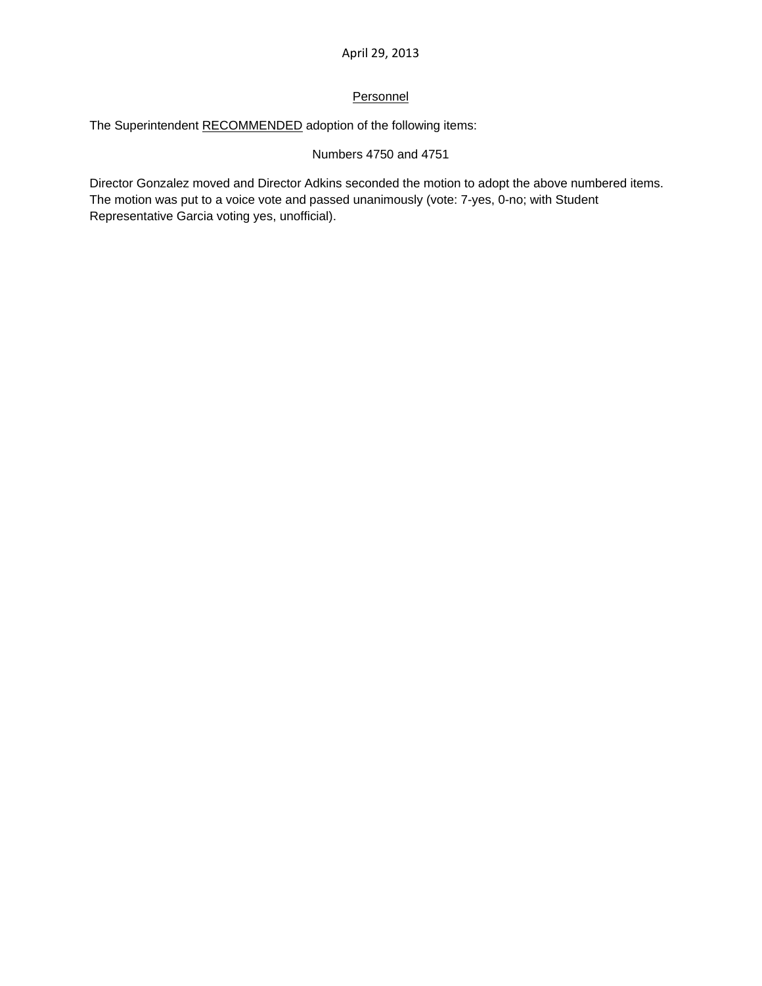## **Personnel**

The Superintendent RECOMMENDED adoption of the following items:

## Numbers 4750 and 4751

Director Gonzalez moved and Director Adkins seconded the motion to adopt the above numbered items. The motion was put to a voice vote and passed unanimously (vote: 7-yes, 0-no; with Student Representative Garcia voting yes, unofficial).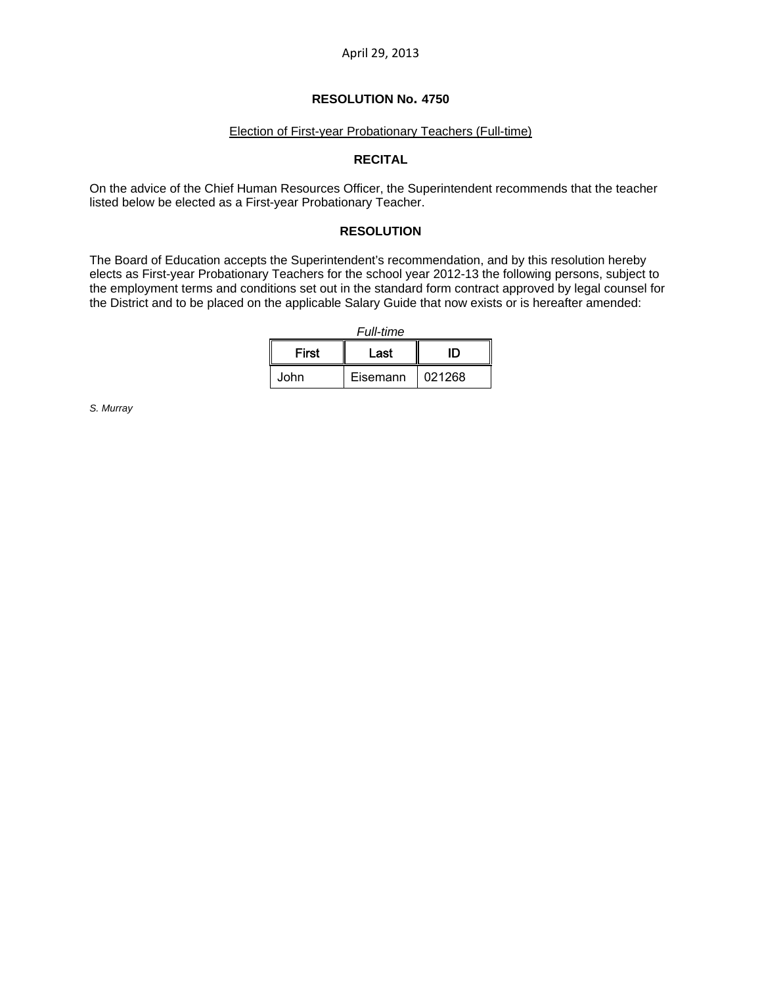### **RESOLUTION No. 4750**

## Election of First-year Probationary Teachers (Full-time)

### **RECITAL**

On the advice of the Chief Human Resources Officer, the Superintendent recommends that the teacher listed below be elected as a First-year Probationary Teacher.

#### **RESOLUTION**

The Board of Education accepts the Superintendent's recommendation, and by this resolution hereby elects as First-year Probationary Teachers for the school year 2012-13 the following persons, subject to the employment terms and conditions set out in the standard form contract approved by legal counsel for the District and to be placed on the applicable Salary Guide that now exists or is hereafter amended:

| Full-time |      |  |  |  |  |
|-----------|------|--|--|--|--|
| First     | Last |  |  |  |  |

John | Eisemann | 021268

*S. Murray*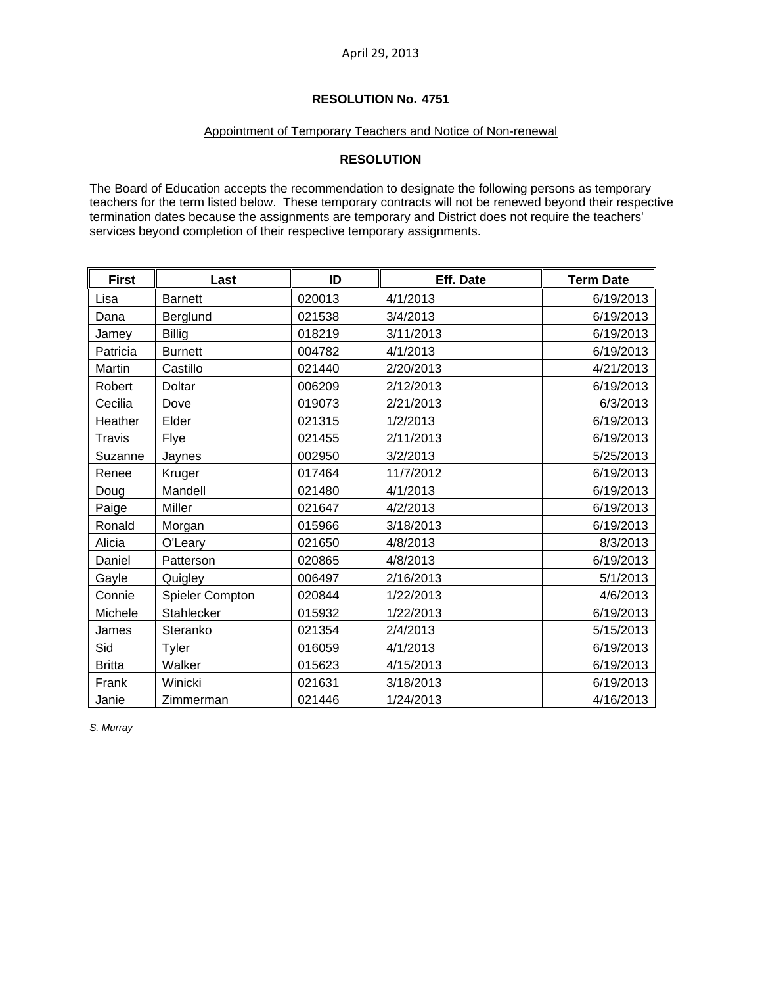## **RESOLUTION No. 4751**

## Appointment of Temporary Teachers and Notice of Non-renewal

## **RESOLUTION**

The Board of Education accepts the recommendation to designate the following persons as temporary teachers for the term listed below. These temporary contracts will not be renewed beyond their respective termination dates because the assignments are temporary and District does not require the teachers' services beyond completion of their respective temporary assignments.

| <b>First</b>  | Last                   | ID     | Eff. Date | <b>Term Date</b> |
|---------------|------------------------|--------|-----------|------------------|
| Lisa          | <b>Barnett</b>         | 020013 | 4/1/2013  | 6/19/2013        |
| Dana          | Berglund               | 021538 | 3/4/2013  | 6/19/2013        |
| Jamey         | <b>Billig</b>          | 018219 | 3/11/2013 | 6/19/2013        |
| Patricia      | <b>Burnett</b>         | 004782 | 4/1/2013  | 6/19/2013        |
| Martin        | Castillo               | 021440 | 2/20/2013 | 4/21/2013        |
| Robert        | Doltar                 | 006209 | 2/12/2013 | 6/19/2013        |
| Cecilia       | Dove                   | 019073 | 2/21/2013 | 6/3/2013         |
| Heather       | Elder                  | 021315 | 1/2/2013  | 6/19/2013        |
| Travis        | Flye                   | 021455 | 2/11/2013 | 6/19/2013        |
| Suzanne       | Jaynes                 | 002950 | 3/2/2013  | 5/25/2013        |
| Renee         | Kruger                 | 017464 | 11/7/2012 | 6/19/2013        |
| Doug          | Mandell                | 021480 | 4/1/2013  | 6/19/2013        |
| Paige         | Miller                 | 021647 | 4/2/2013  | 6/19/2013        |
| Ronald        | Morgan                 | 015966 | 3/18/2013 | 6/19/2013        |
| Alicia        | O'Leary                | 021650 | 4/8/2013  | 8/3/2013         |
| Daniel        | Patterson              | 020865 | 4/8/2013  | 6/19/2013        |
| Gayle         | Quigley                | 006497 | 2/16/2013 | 5/1/2013         |
| Connie        | <b>Spieler Compton</b> | 020844 | 1/22/2013 | 4/6/2013         |
| Michele       | Stahlecker             | 015932 | 1/22/2013 | 6/19/2013        |
| James         | Steranko               | 021354 | 2/4/2013  | 5/15/2013        |
| Sid           | Tyler                  | 016059 | 4/1/2013  | 6/19/2013        |
| <b>Britta</b> | Walker                 | 015623 | 4/15/2013 | 6/19/2013        |
| Frank         | Winicki                | 021631 | 3/18/2013 | 6/19/2013        |
| Janie         | Zimmerman              | 021446 | 1/24/2013 | 4/16/2013        |

*S. Murray*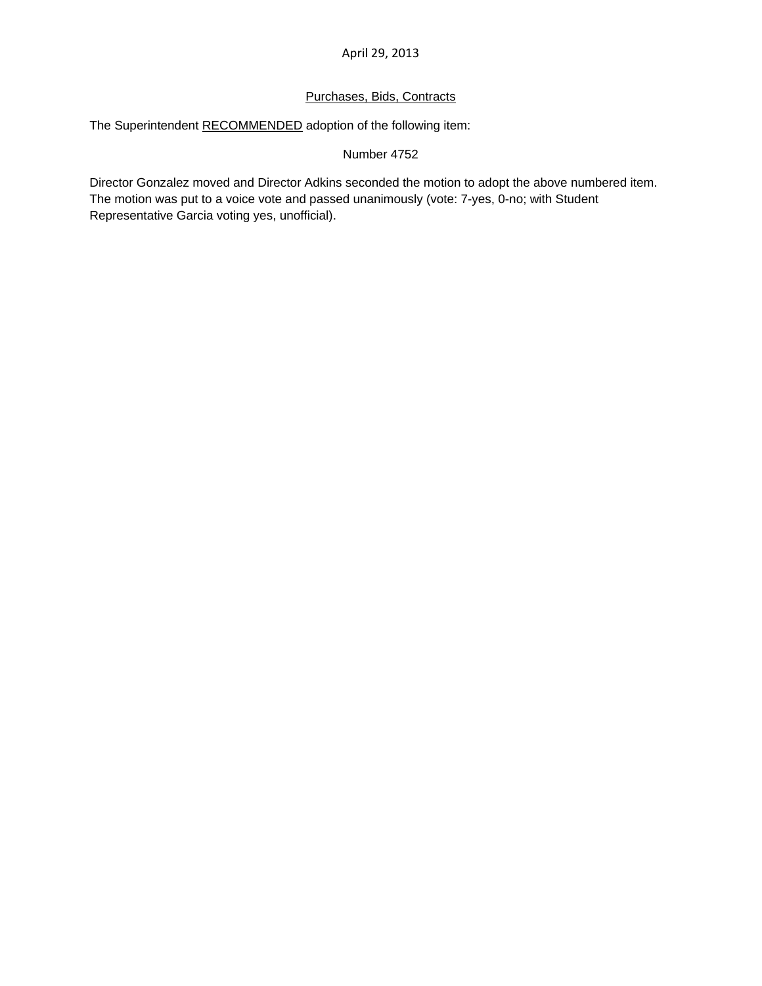## Purchases, Bids, Contracts

The Superintendent RECOMMENDED adoption of the following item:

Number 4752

Director Gonzalez moved and Director Adkins seconded the motion to adopt the above numbered item. The motion was put to a voice vote and passed unanimously (vote: 7-yes, 0-no; with Student Representative Garcia voting yes, unofficial).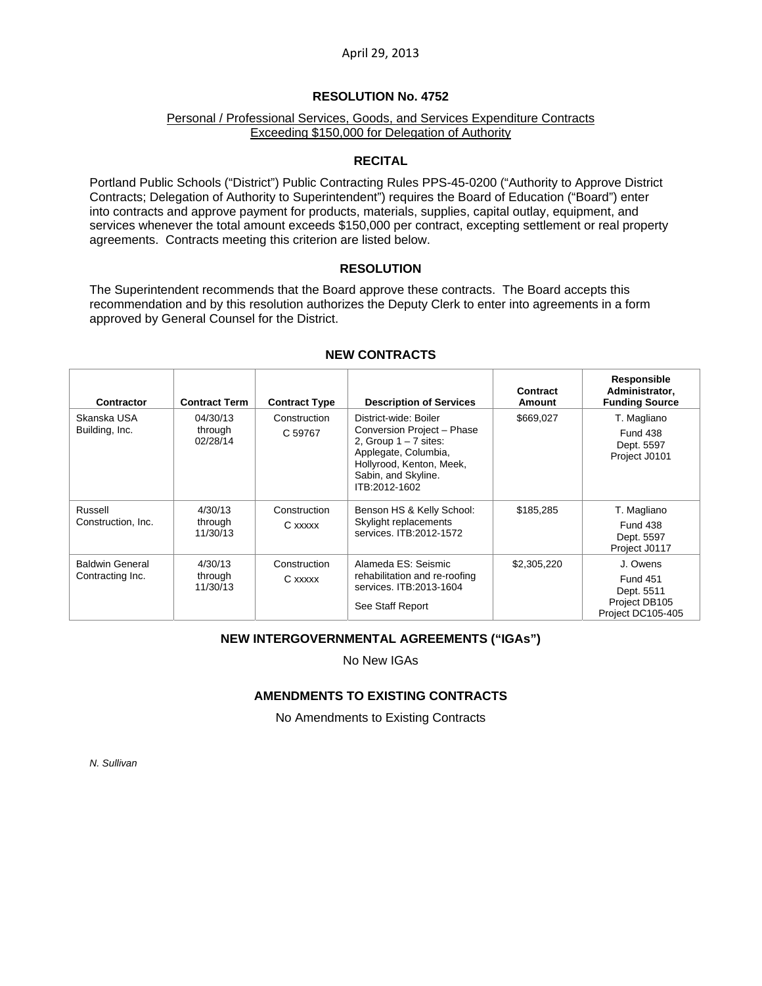### **RESOLUTION No. 4752**

### Personal / Professional Services, Goods, and Services Expenditure Contracts Exceeding \$150,000 for Delegation of Authority

#### **RECITAL**

Portland Public Schools ("District") Public Contracting Rules PPS-45-0200 ("Authority to Approve District Contracts; Delegation of Authority to Superintendent") requires the Board of Education ("Board") enter into contracts and approve payment for products, materials, supplies, capital outlay, equipment, and services whenever the total amount exceeds \$150,000 per contract, excepting settlement or real property agreements. Contracts meeting this criterion are listed below.

#### **RESOLUTION**

The Superintendent recommends that the Board approve these contracts. The Board accepts this recommendation and by this resolution authorizes the Deputy Clerk to enter into agreements in a form approved by General Counsel for the District.

| <b>Contractor</b>                          | <b>Contract Term</b>            | <b>Contract Type</b>    | <b>Description of Services</b>                                                                                                                                             | Contract<br><b>Amount</b> | Responsible<br>Administrator,<br><b>Funding Source</b>                          |
|--------------------------------------------|---------------------------------|-------------------------|----------------------------------------------------------------------------------------------------------------------------------------------------------------------------|---------------------------|---------------------------------------------------------------------------------|
| Skanska USA<br>Building, Inc.              | 04/30/13<br>through<br>02/28/14 | Construction<br>C 59767 | District-wide: Boiler<br>Conversion Project - Phase<br>2, Group $1 - 7$ sites:<br>Applegate, Columbia,<br>Hollyrood, Kenton, Meek,<br>Sabin, and Skyline.<br>ITB:2012-1602 | \$669,027                 | T. Magliano<br><b>Fund 438</b><br>Dept. 5597<br>Project J0101                   |
| Russell<br>Construction, Inc.              | 4/30/13<br>through<br>11/30/13  | Construction<br>C xxxxx | Benson HS & Kelly School:<br>Skylight replacements<br>services. ITB:2012-1572                                                                                              | \$185,285                 | T. Magliano<br><b>Fund 438</b><br>Dept. 5597<br>Project J0117                   |
| <b>Baldwin General</b><br>Contracting Inc. | 4/30/13<br>through<br>11/30/13  | Construction<br>C xxxxx | Alameda ES: Seismic<br>rehabilitation and re-roofing<br>services, ITB: 2013-1604<br>See Staff Report                                                                       | \$2,305,220               | J. Owens<br><b>Fund 451</b><br>Dept. 5511<br>Project DB105<br>Project DC105-405 |

#### **NEW CONTRACTS**

### **NEW INTERGOVERNMENTAL AGREEMENTS ("IGAs")**

No New IGAs

### **AMENDMENTS TO EXISTING CONTRACTS**

No Amendments to Existing Contracts

*N. Sullivan*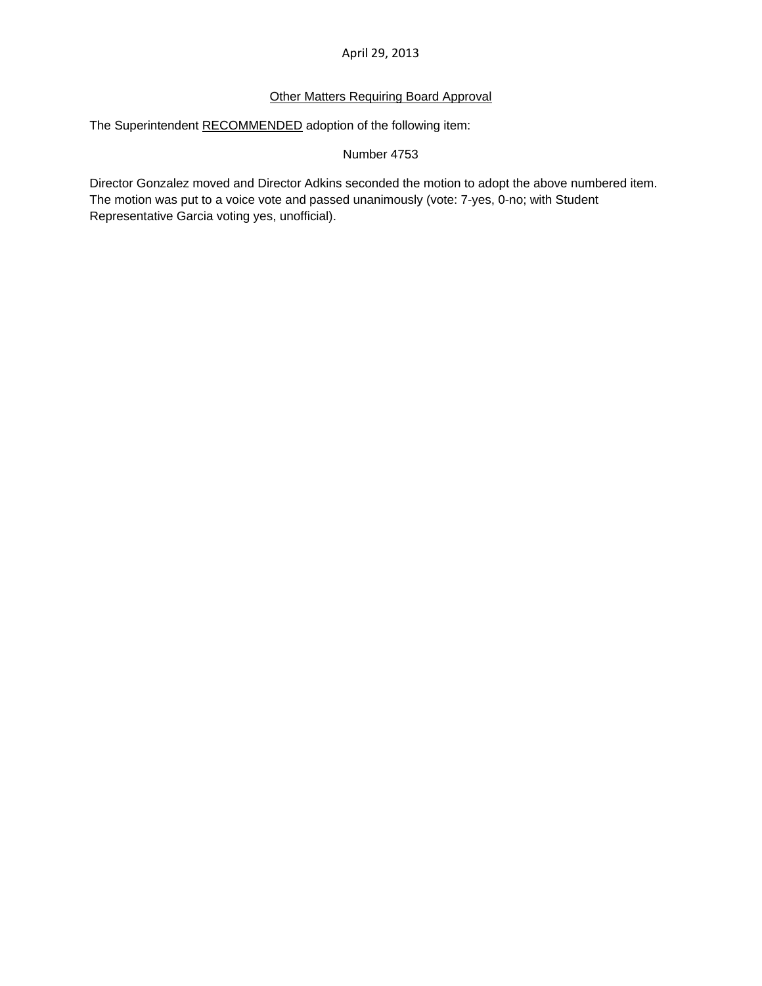## Other Matters Requiring Board Approval

The Superintendent RECOMMENDED adoption of the following item:

### Number 4753

Director Gonzalez moved and Director Adkins seconded the motion to adopt the above numbered item. The motion was put to a voice vote and passed unanimously (vote: 7-yes, 0-no; with Student Representative Garcia voting yes, unofficial).